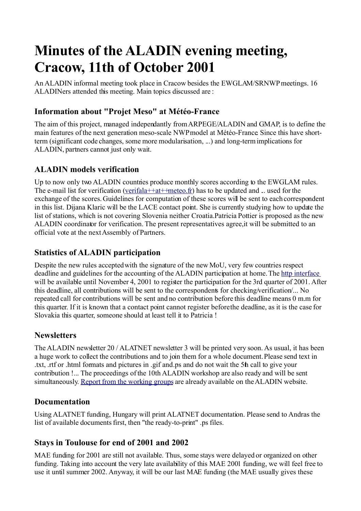# **Minutes of the ALADIN evening meeting, Cracow, 11th of October 2001**

An ALADIN informal meeting took place in Cracow besides the EWGLAM/SRNWP meetings. 16 ALADINers attended this meeting. Main topics discussed are :

## **Information about "Projet Meso" at Météo-France**

The aim of this project, managed independantly fromARPEGE/ALADIN and GMAP, is to define the main features of the next generation meso-scale NWPmodel at Météo-France. Since this have shortterm (significant code changes, some more modularisation, ...) and long-term implications for ALADIN, partners cannot just only wait.

#### **ALADIN models verification**

Up to now only two ALADIN countries produce monthly scores according to the EWGLAM rules. The e-mail list for verification [\(verifala++at++meteo.fr\)](file:///var/www/html/aladin/sxcoope1/aladin/contact/listeverifala.html) has to be updated and  $\ldots$  used for the exchange of the scores. Guidelines for computation of these scores will be sent to each correspondent in this list. Dijana Klaric will be the LACE contact point. She is currently studying how to update the list of stations, which is not covering Slovenia neither Croatia. Patricia Pottier is proposed as the new ALADIN coordinator for verification. The present representatives agree, it will be submitted to an official vote at the next Assembly of Partners.

# **Statistics of ALADIN participation**

Despite the new rules accepted with the signature of the new MoU, very few countries respect deadline and guidelines for the accounting of the ALADIN participation at home.The [http interface](file:///var/www/html/aladin/sxcoope1/aladin/organisation/contributions.html) will be available until November 4, 2001 to register the participation for the 3rd quarter of 2001. After this deadline, all contributions will be sent to the correspondents for checking/verification/... No repeated call for contributions will be sent and no contribution before this deadline means 0 m.m for this quarter. If it is known that a contact point cannot register before the deadline, as it is the case for Slovakia this quarter, someone should at least tell it to Patricia !

#### **Newsletters**

The ALADIN newsletter 20 / ALATNET newsletter 3 will be printed very soon. As usual, it has been a huge work to collect the contributions and to join them for a whole document. Please send text in .txt, .rtf or .html formats and pictures in .gif and .ps and do not wait the 5th call to give your contribution !... The proceedings of the 10th ALADIN workshop are also ready and will be sent simultaneously. [Report from the working groups](file:///var/www/html/aladin/sxcoope1/aladin/meetings/Toulouse2001/report.html) are already available on the ALADIN website.

#### **Documentation**

Using ALATNET funding, Hungary will print ALATNET documentation. Please send to Andras the list of available documents first, then "the ready-to-print" .ps files.

#### **Stays in Toulouse for end of 2001 and 2002**

MAE funding for 2001 are still not available. Thus, some stays were delayed or organized on other funding. Taking into account the very late availability of this MAE 2001 funding, we will feel free to use it until summer 2002. Anyway, it will be our last MAE funding (the MAE usually gives these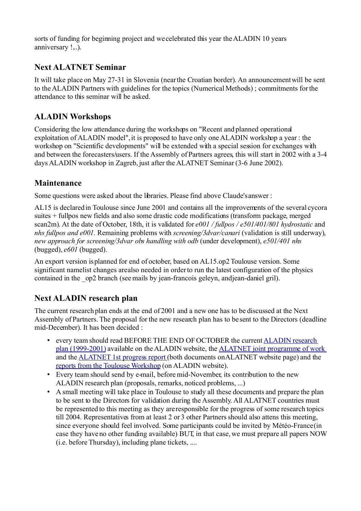sorts of funding for beginning project and we celebrated this year the ALADIN 10 years anniversary !...).

#### **Next ALATNET Seminar**

It will take place on May 27-31 in Slovenia (near the Croatian border). An announcement will be sent to the ALADIN Partners with guidelines for the topics (Numerical Methods) ; commitments for the attendance to this seminar will be asked.

## **ALADIN Workshops**

Considering the low attendance during the workshops on "Recent and planned operational exploitation of ALADIN model", it is proposed to have only one ALADIN workshop a year : the workshop on "Scientific developments" will be extended with a special session for exchanges with and between the forecasters/users. If the Assembly of Partners agrees, this will start in 2002 with a 3-4 days ALADIN workshop in Zagreb, just after the ALATNET Seminar (3-6 June 2002).

#### **Maintenance**

Some questions were asked about the Ibraries. Please find above Claude's answer :

AL15 is declared in Toulouse since June 2001 and contains all the improvements of the several cycora suites + fullpos new fields and also some drastic code modifications (transform package, merged scan2m). At the date of October, 18th, it is validated for *e001 / fullpos / e501/401/801 hydrostatic* and *nhs fullpos and e001.* Remaining problems with *screening/3dvar/canari* (validation is still underway), *new approach for screening/3dvar obs handling with odb* (under development), *e501/401 nhs* (bugged), *e601* (bugged).

An export version isplanned for end of october, based on AL15.op2 Toulouse version. Some significant namelist changes are also needed in order to run the latest configuration of the physics contained in the op2 branch (see mails by jean-francois geleyn, and jean-daniel gril).

#### **Next ALADIN research plan**

The current research plan ends at the end of 2001 and a new one has to be discussed at the Next Assembly of Partners. The proposal for the new research plan has to be sent to the Directors (deadline mid-December). It has been decided :

- every team should read BEFORE THE END OF OCTOBER the current [ALADIN research](file:///var/www/html/aladin/sxcoope1/aladin/scientific/newplan2001.html) [plan \(1999-2001\)](file:///var/www/html/aladin/sxcoope1/aladin/scientific/newplan2001.html) available on the ALADIN website, the ALATNET [joint programme of work](http://www.cnrm.meteo.fr/alatnet/quoi/programme2.html) and the [ALATNET 1st progress report \(](http://www.cnrm.meteo.fr/alatnet/quoi/APR1.html)both documents on ALATNET website page) and th[e](file:///var/www/html/aladin/sxcoope1/aladin/meetings/Toulouse2001/report.html) reports from the [Toulouse Workshop](file:///var/www/html/aladin/sxcoope1/aladin/meetings/Toulouse2001/report.html) (on ALADIN website).
- Every team should send by e-mail, before mid-November, its contribution to the new ALADIN research plan (proposals, remarks, noticed problems, ...)
- A small meeting will take place in Toulouse to study all these documents and prepare the plan to be sent to the Directors for validation during the Assembly. All ALATNET countries must be represented to this meeting as they are responsible for the progress of some research topics till 2004. Representatives from at least 2 or 3 other Partners should also attens this meeting, since everyone should feel involved. Some participants could be invited by Météo-France (in case they have no other funding available) BUT, in that case, we must prepare all papers NOW (i.e. before Thursday), including plane tickets, ....